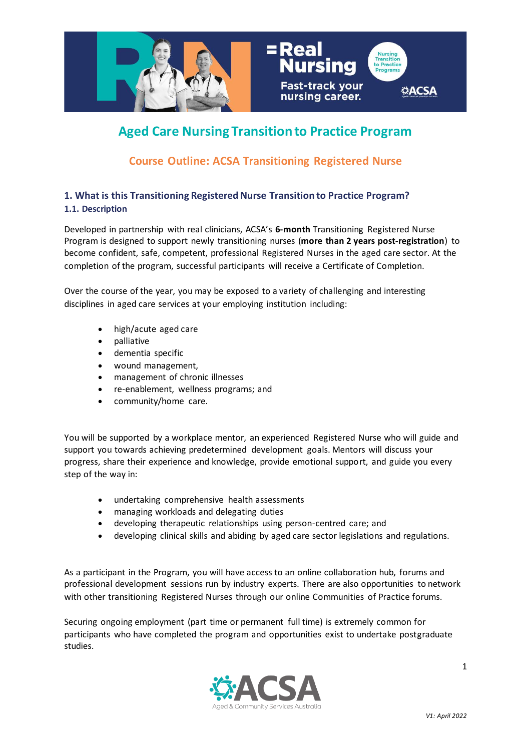

# **Aged Care Nursing Transition to Practice Program**

# **Course Outline: ACSA Transitioning Registered Nurse**

# **1. What is this Transitioning Registered Nurse Transition to Practice Program? 1.1. Description**

Developed in partnership with real clinicians, ACSA's **6-month** Transitioning Registered Nurse Program is designed to support newly transitioning nurses (**more than 2 years post-registration**) to become confident, safe, competent, professional Registered Nurses in the aged care sector. At the completion of the program, successful participants will receive a Certificate of Completion.

Over the course of the year, you may be exposed to a variety of challenging and interesting disciplines in aged care services at your employing institution including:

- high/acute aged care
- palliative
- dementia specific
- wound management,
- management of chronic illnesses
- re-enablement, wellness programs; and
- community/home care.

You will be supported by a workplace mentor, an experienced Registered Nurse who will guide and support you towards achieving predetermined development goals. Mentors will discuss your progress, share their experience and knowledge, provide emotional support, and guide you every step of the way in:

- undertaking comprehensive health assessments
- managing workloads and delegating duties
- developing therapeutic relationships using person-centred care; and
- developing clinical skills and abiding by aged care sector legislations and regulations.

As a participant in the Program, you will have access to an online collaboration hub, forums and professional development sessions run by industry experts. There are also opportunities to network with other transitioning Registered Nurses through our online Communities of Practice forums.

Securing ongoing employment (part time or permanent full time) is extremely common for participants who have completed the program and opportunities exist to undertake postgraduate studies.

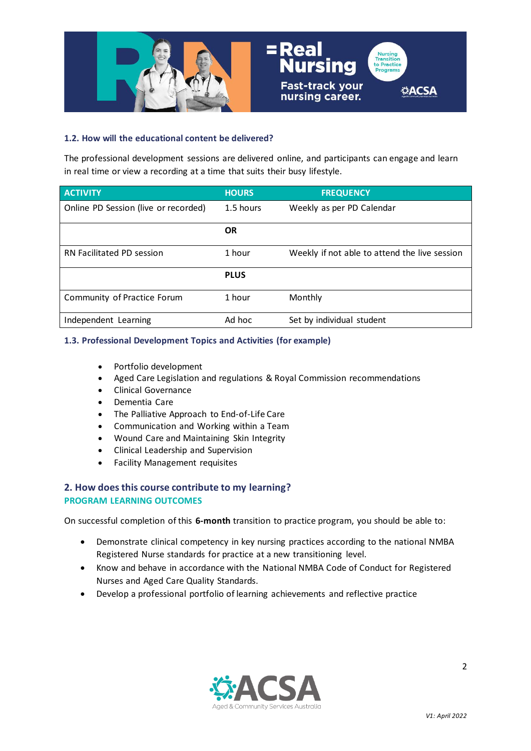

#### **1.2. How will the educational content be delivered?**

The professional development sessions are delivered online, and participants can engage and learn in real time or view a recording at a time that suits their busy lifestyle.

| <b>ACTIVITY</b>                      | <b>HOURS</b> | <b>FREQUENCY</b>                              |
|--------------------------------------|--------------|-----------------------------------------------|
| Online PD Session (live or recorded) | 1.5 hours    | Weekly as per PD Calendar                     |
|                                      | <b>OR</b>    |                                               |
| RN Facilitated PD session            | 1 hour       | Weekly if not able to attend the live session |
|                                      | <b>PLUS</b>  |                                               |
| Community of Practice Forum          | 1 hour       | Monthly                                       |
| Independent Learning                 | Ad hoc       | Set by individual student                     |

#### **1.3. Professional Development Topics and Activities (for example)**

- Portfolio development
- Aged Care Legislation and regulations & Royal Commission recommendations
- Clinical Governance
- Dementia Care
- The Palliative Approach to End-of-Life Care
- Communication and Working within a Team
- Wound Care and Maintaining Skin Integrity
- Clinical Leadership and Supervision
- Facility Management requisites

# **2. How does this course contribute to my learning? PROGRAM LEARNING OUTCOMES**

On successful completion of this **6-month** transition to practice program, you should be able to:

- Demonstrate clinical competency in key nursing practices according to the national NMBA Registered Nurse standards for practice at a new transitioning level.
- Know and behave in accordance with the National NMBA Code of Conduct for Registered Nurses and Aged Care Quality Standards.
- Develop a professional portfolio of learning achievements and reflective practice

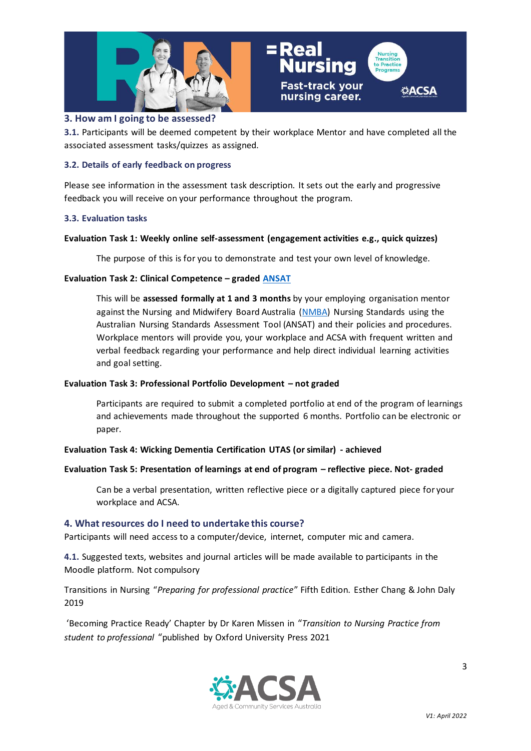

### **3. How am I going to be assessed?**

**3.1.** Participants will be deemed competent by their workplace Mentor and have completed all the associated assessment tasks/quizzes as assigned.

#### **3.2. Details of early feedback on progress**

Please see information in the assessment task description. It sets out the early and progressive feedback you will receive on your performance throughout the program.

#### **3.3. Evaluation tasks**

#### **Evaluation Task 1: Weekly online self-assessment (engagement activities e.g., quick quizzes)**

The purpose of this is for you to demonstrate and test your own level of knowledge.

#### **Evaluation Task 2: Clinical Competence – graded [ANSAT](https://www.ansat.com.au/home/tools)**

This will be **assessed formally at 1 and 3 months** by your employing organisation mentor against the Nursing and Midwifery Board Australia [\(NMBA\)](https://www.nursingmidwiferyboard.gov.au/codes-guidelines-statements/professional-standards.aspx) Nursing Standards using the Australian Nursing Standards Assessment Tool (ANSAT) and their policies and procedures. Workplace mentors will provide you, your workplace and ACSA with frequent written and verbal feedback regarding your performance and help direct individual learning activities and goal setting.

#### **Evaluation Task 3: Professional Portfolio Development – not graded**

Participants are required to submit a completed portfolio at end of the program of learnings and achievements made throughout the supported 6 months. Portfolio can be electronic or paper.

#### **Evaluation Task 4: Wicking Dementia Certification UTAS (or similar) - achieved**

#### **Evaluation Task 5: Presentation of learnings at end of program – reflective piece. Not- graded**

Can be a verbal presentation, written reflective piece or a digitally captured piece for your workplace and ACSA.

#### **4. What resources do I need to undertake this course?**

Participants will need access to a computer/device, internet, computer mic and camera.

**4.1.** Suggested texts, websites and journal articles will be made available to participants in the Moodle platform. Not compulsory

Transitions in Nursing "*Preparing for professional practice*" Fifth Edition. Esther Chang & John Daly 2019

'Becoming Practice Ready' Chapter by Dr Karen Missen in "*[Transition to Nursing Practice from](https://www.oup.com.au/books/higher-education/health,-nursing-and-social-work/9780190325695-transition-to-nursing-practice)  [student to professional](https://www.oup.com.au/books/higher-education/health,-nursing-and-social-work/9780190325695-transition-to-nursing-practice)* "published by Oxford University Press 2021